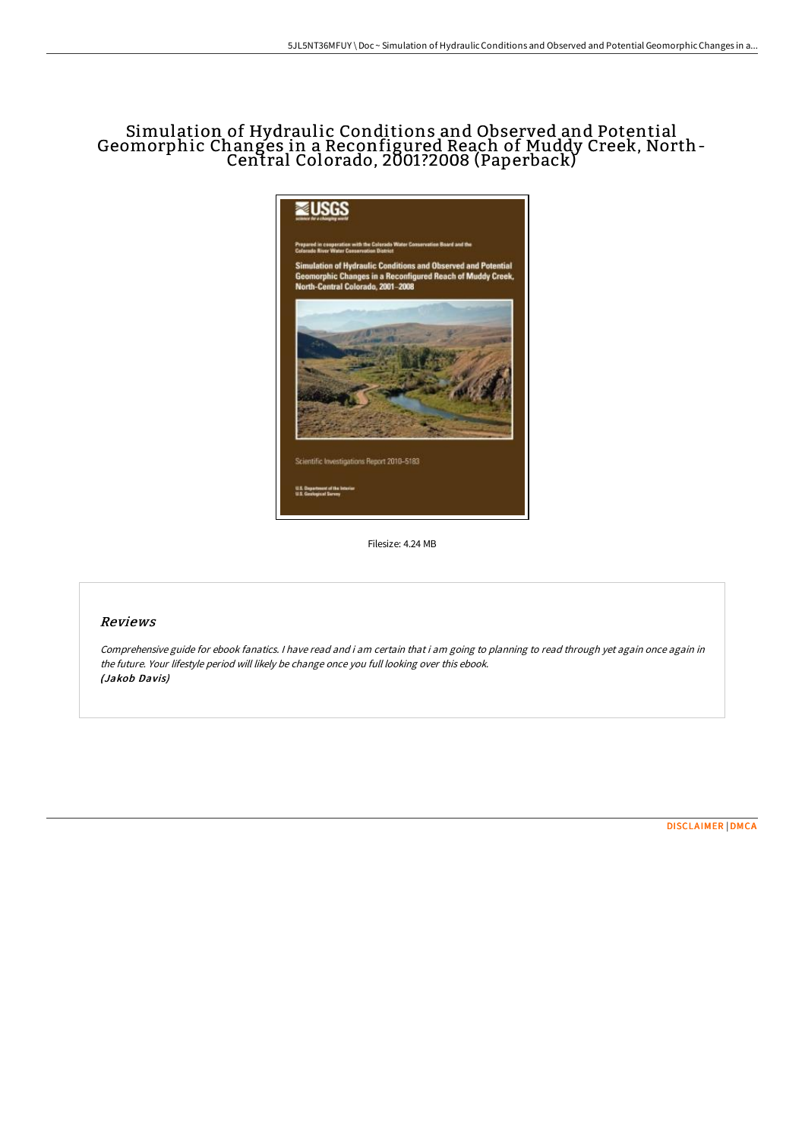# Simulation of Hydraulic Conditions and Observed and Potential Geomorphic Changes in a Reconfigured Reach of Muddy Creek, North-Central Colorado, 2001?2008 (Paperback)



Filesize: 4.24 MB

### Reviews

Comprehensive guide for ebook fanatics. <sup>I</sup> have read and i am certain that i am going to planning to read through yet again once again in the future. Your lifestyle period will likely be change once you full looking over this ebook. (Jakob Davis)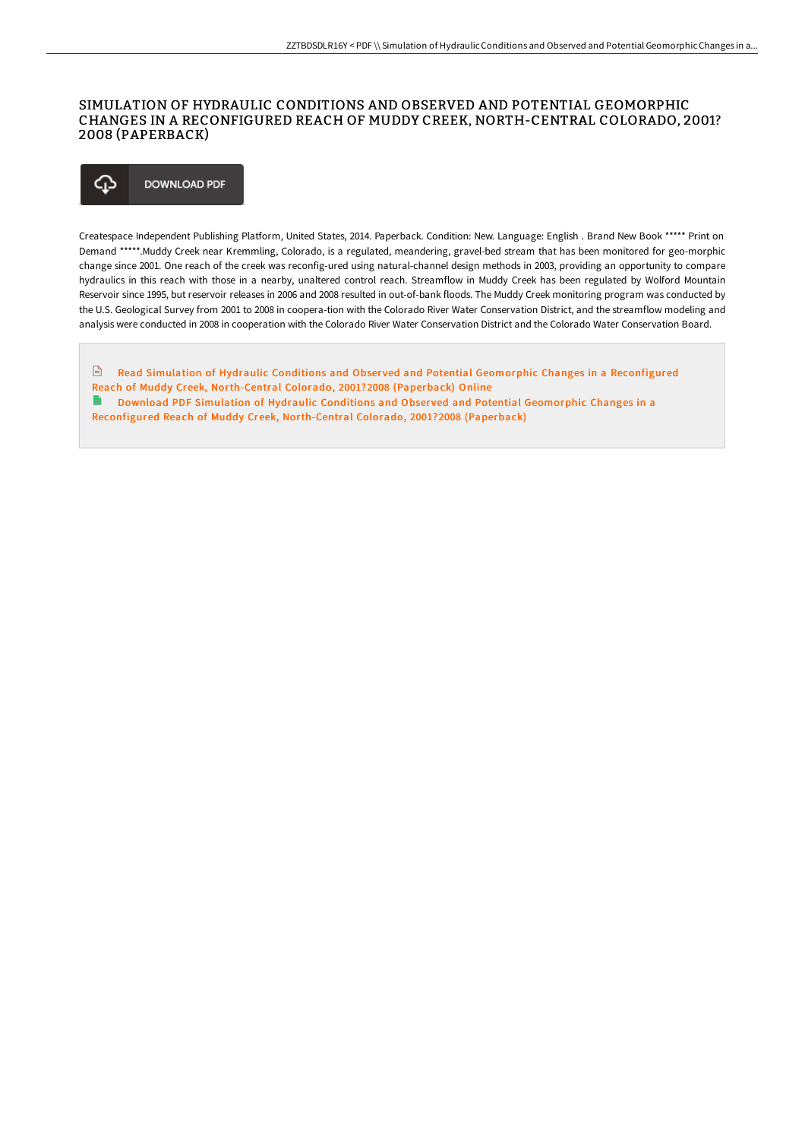### SIMULATION OF HYDRAULIC CONDITIONS AND OBSERVED AND POTENTIAL GEOMORPHIC CHANGES IN A RECONFIGURED REACH OF MUDDY CREEK, NORTH-CENTRAL COLORADO, 2001? 2008 (PAPERBACK)

#### Φ **DOWNLOAD PDF**

Createspace Independent Publishing Platform, United States, 2014. Paperback. Condition: New. Language: English . Brand New Book \*\*\*\*\* Print on Demand \*\*\*\*\*.Muddy Creek near Kremmling, Colorado, is a regulated, meandering, gravel-bed stream that has been monitored for geo-morphic change since 2001. One reach of the creek was reconfig-ured using natural-channel design methods in 2003, providing an opportunity to compare hydraulics in this reach with those in a nearby, unaltered control reach. Streamflow in Muddy Creek has been regulated by Wolford Mountain Reservoir since 1995, but reservoir releases in 2006 and 2008 resulted in out-of-bank floods. The Muddy Creek monitoring program was conducted by the U.S. Geological Survey from 2001 to 2008 in coopera-tion with the Colorado River Water Conservation District, and the streamflow modeling and analysis were conducted in 2008 in cooperation with the Colorado River Water Conservation District and the Colorado Water Conservation Board.

 $\frac{D}{100}$ Read Simulation of Hydraulic Conditions and Observed and Potential Geomorphic Changes in a Reconfigured Reach of Muddy Creek, [North-Central](http://www.bookdirs.com/simulation-of-hydraulic-conditions-and-observed-.html) Colorado, 2001?2008 (Paperback) Online  $\mathbf{E}$ Download PDF Simulation of Hydraulic Conditions and Observed and Potential Geomorphic Changes in a

Reconfigured Reach of Muddy Creek, [North-Central](http://www.bookdirs.com/simulation-of-hydraulic-conditions-and-observed-.html) Colorado, 2001?2008 (Paperback)